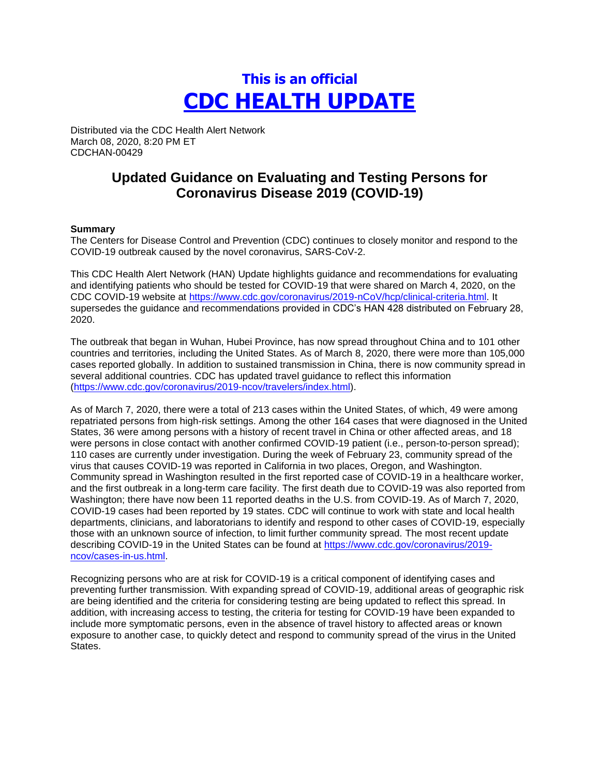# **This is an official CDC HEALTH UPDATE**

Distributed via the CDC Health Alert Network March 08, 2020, 8:20 PM ET CDCHAN-00429

## **Updated Guidance on Evaluating and Testing Persons for Coronavirus Disease 2019 (COVID-19)**

#### **Summary**

The Centers for Disease Control and Prevention (CDC) continues to closely monitor and respond to the COVID-19 outbreak caused by the novel coronavirus, SARS-CoV-2.

This CDC Health Alert Network (HAN) Update highlights guidance and recommendations for evaluating and identifying patients who should be tested for COVID-19 that were shared on March 4, 2020, on the CDC COVID-19 website at [https://www.cdc.gov/coronavirus/2019-nCoV/hcp/clinical-criteria.html.](https://www.cdc.gov/coronavirus/2019-nCoV/hcp/clinical-criteria.html) It supersedes the guidance and recommendations provided in CDC's HAN 428 distributed on February 28, 2020.

The outbreak that began in Wuhan, Hubei Province, has now spread throughout China and to 101 other countries and territories, including the United States. As of March 8, 2020, there were more than 105,000 cases reported globally. In addition to sustained transmission in China, there is now community spread in several additional countries. CDC has updated travel guidance to reflect this information [\(https://www.cdc.gov/coronavirus/2019-ncov/travelers/index.html\)](https://www.cdc.gov/coronavirus/2019-ncov/travelers/index.html).

As of March 7, 2020, there were a total of 213 cases within the United States, of which, 49 were among repatriated persons from high-risk settings. Among the other 164 cases that were diagnosed in the United States, 36 were among persons with a history of recent travel in China or other affected areas, and 18 were persons in close contact with another confirmed COVID-19 patient (i.e., person-to-person spread); 110 cases are currently under investigation. During the week of February 23, community spread of the virus that causes COVID-19 was reported in California in two places, Oregon, and Washington. Community spread in Washington resulted in the first reported case of COVID-19 in a healthcare worker, and the first outbreak in a long-term care facility. The first death due to COVID-19 was also reported from Washington; there have now been 11 reported deaths in the U.S. from COVID-19. As of March 7, 2020, COVID-19 cases had been reported by 19 states. CDC will continue to work with state and local health departments, clinicians, and laboratorians to identify and respond to other cases of COVID-19, especially those with an unknown source of infection, to limit further community spread. The most recent update describing COVID-19 in the United States can be found at [https://www.cdc.gov/coronavirus/2019](https://www.cdc.gov/coronavirus/2019-ncov/cases-in-us.html) [ncov/cases-in-us.html.](https://www.cdc.gov/coronavirus/2019-ncov/cases-in-us.html)

Recognizing persons who are at risk for COVID-19 is a critical component of identifying cases and preventing further transmission. With expanding spread of COVID-19, additional areas of geographic risk are being identified and the criteria for considering testing are being updated to reflect this spread. In addition, with increasing access to testing, the criteria for testing for COVID-19 have been expanded to include more symptomatic persons, even in the absence of travel history to affected areas or known exposure to another case, to quickly detect and respond to community spread of the virus in the United States.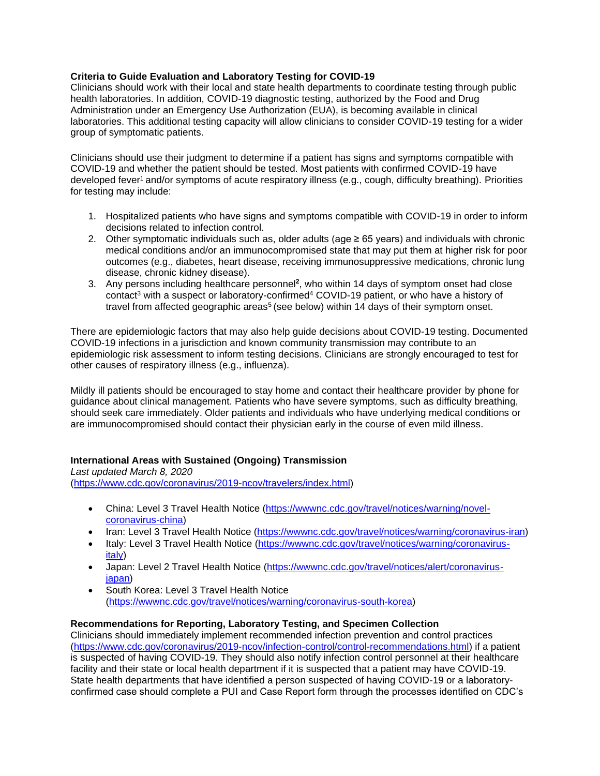### **Criteria to Guide Evaluation and Laboratory Testing for COVID-19**

Clinicians should work with their local and state health departments to coordinate testing through public health laboratories. In addition, COVID-19 diagnostic testing, authorized by the Food and Drug Administration under an Emergency Use Authorization (EUA), is becoming available in clinical laboratories. This additional testing capacity will allow clinicians to consider COVID-19 testing for a wider group of symptomatic patients.

Clinicians should use their judgment to determine if a patient has signs and symptoms compatible with COVID-19 and whether the patient should be tested. Most patients with confirmed COVID-19 have developed fever<sup>1</sup> and/or symptoms of acute respiratory illness (e.g., cough, difficulty breathing). Priorities for testing may include:

- 1. Hospitalized patients who have signs and symptoms compatible with COVID-19 in order to inform decisions related to infection control.
- 2. Other symptomatic individuals such as, older adults (age ≥ 65 years) and individuals with chronic medical conditions and/or an immunocompromised state that may put them at higher risk for poor outcomes (e.g., diabetes, heart disease, receiving immunosuppressive medications, chronic lung disease, chronic kidney disease).
- 3. Any persons including healthcare personnel<sup>2</sup>, who within 14 days of symptom onset had close contact<sup>3</sup> with a suspect or laboratory-confirmed<sup>4</sup> COVID-19 patient, or who have a history of travel from affected geographic areas<sup>5</sup> (see below) within 14 days of their symptom onset.

There are epidemiologic factors that may also help guide decisions about COVID-19 testing. Documented COVID-19 infections in a jurisdiction and known community transmission may contribute to an epidemiologic risk assessment to inform testing decisions. Clinicians are strongly encouraged to test for other causes of respiratory illness (e.g., influenza).

Mildly ill patients should be encouraged to stay home and contact their healthcare provider by phone for guidance about clinical management. Patients who have severe symptoms, such as difficulty breathing, should seek care immediately. Older patients and individuals who have underlying medical conditions or are immunocompromised should contact their physician early in the course of even mild illness.

#### **International Areas with Sustained (Ongoing) Transmission**

*Last updated March 8, 2020* [\(https://www.cdc.gov/coronavirus/2019-ncov/travelers/index.html\)](https://www.cdc.gov/coronavirus/2019-ncov/travelers/index.html)

- China: Level 3 Travel Health Notice [\(https://wwwnc.cdc.gov/travel/notices/warning/novel](https://wwwnc.cdc.gov/travel/notices/warning/novel-coronavirus-china)[coronavirus-china\)](https://wwwnc.cdc.gov/travel/notices/warning/novel-coronavirus-china)
- Iran: Level 3 Travel Health Notice [\(https://wwwnc.cdc.gov/travel/notices/warning/coronavirus-iran\)](https://wwwnc.cdc.gov/travel/notices/warning/coronavirus-iran)
- Italy: Level 3 Travel Health Notice [\(https://wwwnc.cdc.gov/travel/notices/warning/coronavirus](https://wwwnc.cdc.gov/travel/notices/warning/coronavirus-italy)[italy\)](https://wwwnc.cdc.gov/travel/notices/warning/coronavirus-italy)
- Japan: Level 2 Travel Health Notice [\(https://wwwnc.cdc.gov/travel/notices/alert/coronavirus](https://wwwnc.cdc.gov/travel/notices/alert/coronavirus-japan)[japan\)](https://wwwnc.cdc.gov/travel/notices/alert/coronavirus-japan)
- South Korea: Level 3 Travel Health Notice [\(https://wwwnc.cdc.gov/travel/notices/warning/coronavirus-south-korea\)](https://wwwnc.cdc.gov/travel/notices/warning/coronavirus-south-korea)

#### **Recommendations for Reporting, Laboratory Testing, and Specimen Collection**

Clinicians should immediately implement recommended infection prevention and control practices [\(https://www.cdc.gov/coronavirus/2019-ncov/infection-control/control-recommendations.html\)](https://www.cdc.gov/coronavirus/2019-ncov/infection-control/control-recommendations.html) if a patient is suspected of having COVID-19. They should also notify infection control personnel at their healthcare facility and their state or local health department if it is suspected that a patient may have COVID-19. State health departments that have identified a person suspected of having COVID-19 or a laboratoryconfirmed case should complete a PUI and Case Report form through the processes identified on CDC's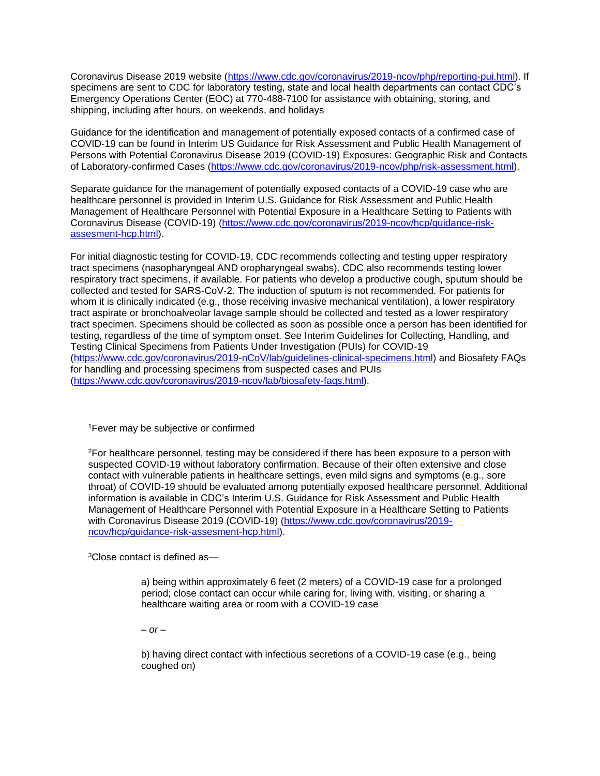Coronavirus Disease 2019 website [\(https://www.cdc.gov/coronavirus/2019-ncov/php/reporting-pui.html\)](https://www.cdc.gov/coronavirus/2019-ncov/php/reporting-pui.html). If specimens are sent to CDC for laboratory testing, state and local health departments can contact CDC's Emergency Operations Center (EOC) at 770-488-7100 for assistance with obtaining, storing, and shipping, including after hours, on weekends, and holidays

Guidance for the identification and management of potentially exposed contacts of a confirmed case of COVID-19 can be found in Interim US Guidance for Risk Assessment and Public Health Management of Persons with Potential Coronavirus Disease 2019 (COVID-19) Exposures: Geographic Risk and Contacts of Laboratory-confirmed Cases [\(https://www.cdc.gov/coronavirus/2019-ncov/php/risk-assessment.html\)](https://www.cdc.gov/coronavirus/2019-ncov/php/risk-assessment.html).

Separate guidance for the management of potentially exposed contacts of a COVID-19 case who are healthcare personnel is provided in Interim U.S. Guidance for Risk Assessment and Public Health Management of Healthcare Personnel with Potential Exposure in a Healthcare Setting to Patients with Coronavirus Disease (COVID-19) [\(https://www.cdc.gov/coronavirus/2019-ncov/hcp/guidance-risk](https://www.cdc.gov/coronavirus/2019-ncov/hcp/guidance-risk-assesment-hcp.html)[assesment-hcp.html\)](https://www.cdc.gov/coronavirus/2019-ncov/hcp/guidance-risk-assesment-hcp.html).

For initial diagnostic testing for COVID-19, CDC recommends collecting and testing upper respiratory tract specimens (nasopharyngeal AND oropharyngeal swabs). CDC also recommends testing lower respiratory tract specimens, if available. For patients who develop a productive cough, sputum should be collected and tested for SARS-CoV-2. The induction of sputum is not recommended. For patients for whom it is clinically indicated (e.g., those receiving invasive mechanical ventilation), a lower respiratory tract aspirate or bronchoalveolar lavage sample should be collected and tested as a lower respiratory tract specimen. Specimens should be collected as soon as possible once a person has been identified for testing, regardless of the time of symptom onset. See Interim Guidelines for Collecting, Handling, and Testing Clinical Specimens from Patients Under Investigation (PUIs) for COVID-19 [\(https://www.cdc.gov/coronavirus/2019-nCoV/lab/guidelines-clinical-specimens.html\)](https://www.cdc.gov/coronavirus/2019-nCoV/lab/guidelines-clinical-specimens.html) and Biosafety FAQs for handling and processing specimens from suspected cases and PUIs [\(https://www.cdc.gov/coronavirus/2019-ncov/lab/biosafety-faqs.html\)](https://www.cdc.gov/coronavirus/2019-ncov/lab/biosafety-faqs.html).

<sup>1</sup>Fever may be subjective or confirmed

<sup>2</sup>For healthcare personnel, testing may be considered if there has been exposure to a person with suspected COVID-19 without laboratory confirmation. Because of their often extensive and close contact with vulnerable patients in healthcare settings, even mild signs and symptoms (e.g., sore throat) of COVID-19 should be evaluated among potentially exposed healthcare personnel. Additional information is available in CDC's Interim U.S. Guidance for Risk Assessment and Public Health Management of Healthcare Personnel with Potential Exposure in a Healthcare Setting to Patients with Coronavirus Disease 2019 (COVID-19) [\(https://www.cdc.gov/coronavirus/2019](https://www.cdc.gov/coronavirus/2019-ncov/hcp/guidance-risk-assesment-hcp.html) [ncov/hcp/guidance-risk-assesment-hcp.html\)](https://www.cdc.gov/coronavirus/2019-ncov/hcp/guidance-risk-assesment-hcp.html).

<sup>3</sup>Close contact is defined as—

a) being within approximately 6 feet (2 meters) of a COVID-19 case for a prolonged period; close contact can occur while caring for, living with, visiting, or sharing a healthcare waiting area or room with a COVID-19 case

*– or –*

b) having direct contact with infectious secretions of a COVID-19 case (e.g., being coughed on)